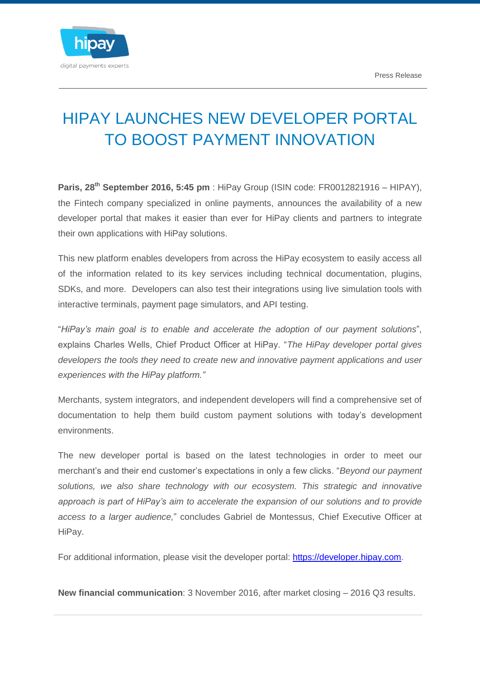

## HIPAY LAUNCHES NEW DEVELOPER PORTAL TO BOOST PAYMENT INNOVATION

**Paris, 28th September 2016, 5:45 pm** : HiPay Group (ISIN code: FR0012821916 – HIPAY), the Fintech company specialized in online payments, announces the availability of a new developer portal that makes it easier than ever for HiPay clients and partners to integrate their own applications with HiPay solutions.

This new platform enables developers from across the HiPay ecosystem to easily access all of the information related to its key services including technical documentation, plugins, SDKs, and more. Developers can also test their integrations using live simulation tools with interactive terminals, payment page simulators, and API testing.

"*HiPay's main goal is to enable and accelerate the adoption of our payment solutions*", explains Charles Wells, Chief Product Officer at HiPay. "*The HiPay developer portal gives developers the tools they need to create new and innovative payment applications and user experiences with the HiPay platform."*

Merchants, system integrators, and independent developers will find a comprehensive set of documentation to help them build custom payment solutions with today's development environments.

The new developer portal is based on the latest technologies in order to meet our merchant's and their end customer's expectations in only a few clicks. "*Beyond our payment solutions, we also share technology with our ecosystem. This strategic and innovative approach is part of HiPay's aim to accelerate the expansion of our solutions and to provide access to a larger audience,*" concludes Gabriel de Montessus, Chief Executive Officer at HiPay.

For additional information, please visit the developer portal: [https://developer.hipay.com.](https://developer.hipay.com/)

**New financial communication**: 3 November 2016, after market closing – 2016 Q3 results.